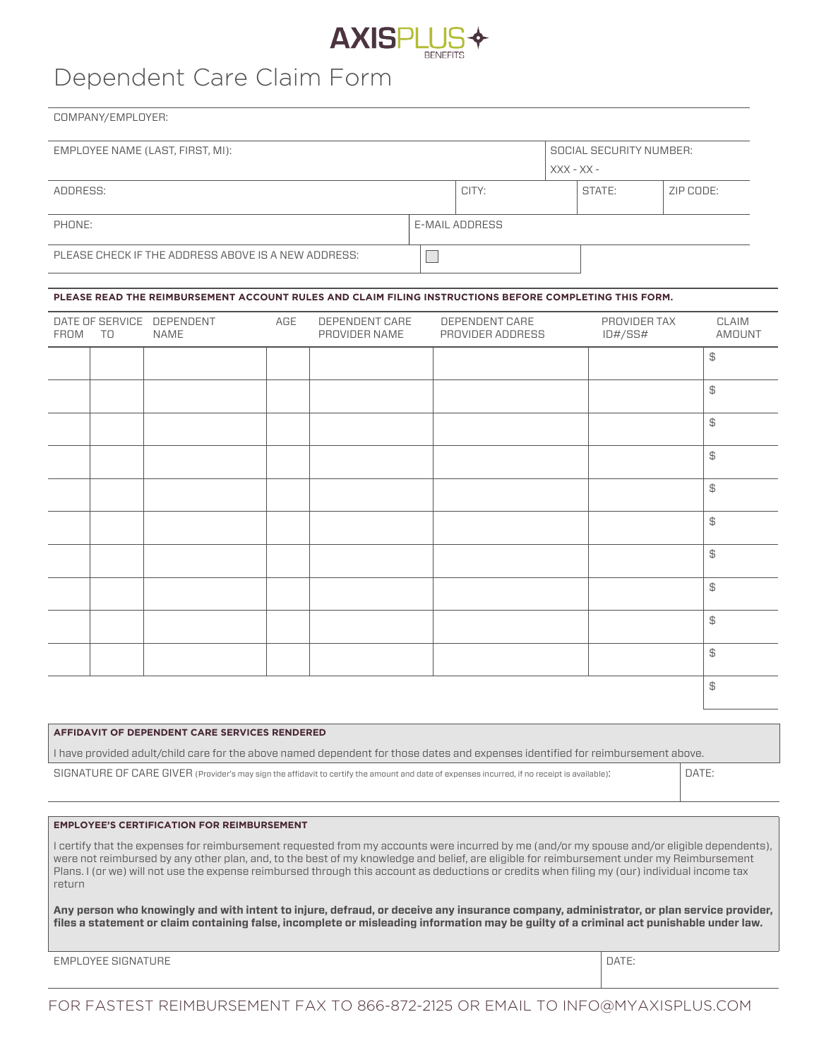

# Dependent Care Claim Form

COMPANY/EMPLOYER:

| EMPLOYEE NAME (LAST, FIRST, MI):                    | SOCIAL SECURITY NUMBER: |                |        |           |  |  |
|-----------------------------------------------------|-------------------------|----------------|--------|-----------|--|--|
|                                                     | $XXX - XX -$            |                |        |           |  |  |
| ADDRESS:                                            | CITY:                   |                | STATE: | ZIP CODE: |  |  |
| PHONE:                                              |                         | E-MAIL ADDRESS |        |           |  |  |
| PLEASE CHECK IF THE ADDRESS ABOVE IS A NEW ADDRESS: |                         |                |        |           |  |  |

#### **PLEASE READ THE REIMBURSEMENT ACCOUNT RULES AND CLAIM FILING INSTRUCTIONS BEFORE COMPLETING THIS FORM.**

| FROM | TO | DATE OF SERVICE DEPENDENT<br>NAME | AGE | DEPENDENT CARE<br>PROVIDER NAME | DEPENDENT CARE<br>PROVIDER ADDRESS | PROVIDER TAX<br>ID#/SS# | CLAIM<br>AMOUNT |
|------|----|-----------------------------------|-----|---------------------------------|------------------------------------|-------------------------|-----------------|
|      |    |                                   |     |                                 |                                    |                         | $\mathfrak{P}$  |
|      |    |                                   |     |                                 |                                    |                         | $\mathbb{S}$    |
|      |    |                                   |     |                                 |                                    |                         | $\mathfrak{P}$  |
|      |    |                                   |     |                                 |                                    |                         | $\mathfrak{P}$  |
|      |    |                                   |     |                                 |                                    |                         | $\, \oplus \,$  |
|      |    |                                   |     |                                 |                                    |                         | $\, \oplus \,$  |
|      |    |                                   |     |                                 |                                    |                         | $\mathfrak{P}$  |
|      |    |                                   |     |                                 |                                    |                         | $\mathfrak{P}$  |
|      |    |                                   |     |                                 |                                    |                         | $\mathfrak{P}$  |
|      |    |                                   |     |                                 |                                    |                         | $\, \oplus \,$  |
|      |    |                                   |     |                                 |                                    |                         | $\mathfrak{P}$  |

#### **AFFIDAVIT OF DEPENDENT CARE SERVICES RENDERED**

I have provided adult/child care for the above named dependent for those dates and expenses identified for reimbursement above.

SIGNATURE OF CARE GIVER (Provider's may sign the affidavit to certify the amount and date of expenses incurred, if no receipt is available): DATE:

#### **EMPLOYEE'S CERTIFICATION FOR REIMBURSEMENT**

I certify that the expenses for reimbursement requested from my accounts were incurred by me (and/or my spouse and/or eligible dependents), were not reimbursed by any other plan, and, to the best of my knowledge and belief, are eligible for reimbursement under my Reimbursement Plans. I (or we) will not use the expense reimbursed through this account as deductions or credits when filing my (our) individual income tax return

**Any person who knowingly and with intent to injure, defraud, or deceive any insurance company, administrator, or plan service provider, files a statement or claim containing false, incomplete or misleading information may be guilty of a criminal act punishable under law.**

EMPLOYEE SIGNATURE DATE: